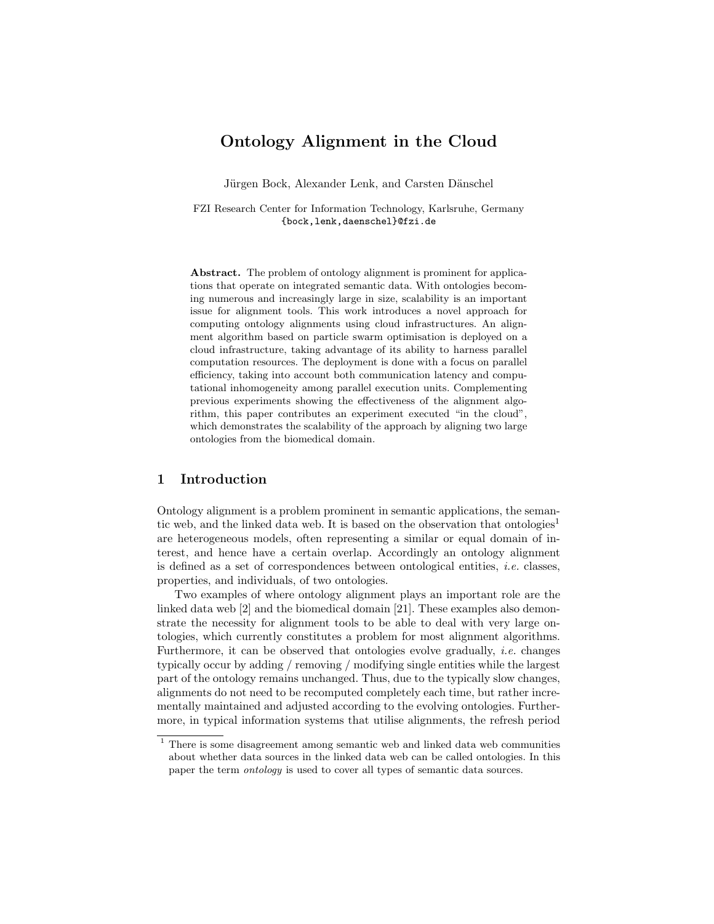# Ontology Alignment in the Cloud

Jürgen Bock, Alexander Lenk, and Carsten Dänschel

FZI Research Center for Information Technology, Karlsruhe, Germany {bock,lenk,daenschel}@fzi.de

Abstract. The problem of ontology alignment is prominent for applications that operate on integrated semantic data. With ontologies becoming numerous and increasingly large in size, scalability is an important issue for alignment tools. This work introduces a novel approach for computing ontology alignments using cloud infrastructures. An alignment algorithm based on particle swarm optimisation is deployed on a cloud infrastructure, taking advantage of its ability to harness parallel computation resources. The deployment is done with a focus on parallel efficiency, taking into account both communication latency and computational inhomogeneity among parallel execution units. Complementing previous experiments showing the effectiveness of the alignment algorithm, this paper contributes an experiment executed "in the cloud", which demonstrates the scalability of the approach by aligning two large ontologies from the biomedical domain.

# 1 Introduction

Ontology alignment is a problem prominent in semantic applications, the semantic web, and the linked data web. It is based on the observation that ontologies<sup>1</sup> are heterogeneous models, often representing a similar or equal domain of interest, and hence have a certain overlap. Accordingly an ontology alignment is defined as a set of correspondences between ontological entities, i.e. classes, properties, and individuals, of two ontologies.

Two examples of where ontology alignment plays an important role are the linked data web [2] and the biomedical domain [21]. These examples also demonstrate the necessity for alignment tools to be able to deal with very large ontologies, which currently constitutes a problem for most alignment algorithms. Furthermore, it can be observed that ontologies evolve gradually, *i.e.* changes typically occur by adding / removing / modifying single entities while the largest part of the ontology remains unchanged. Thus, due to the typically slow changes, alignments do not need to be recomputed completely each time, but rather incrementally maintained and adjusted according to the evolving ontologies. Furthermore, in typical information systems that utilise alignments, the refresh period

<sup>1</sup> There is some disagreement among semantic web and linked data web communities about whether data sources in the linked data web can be called ontologies. In this paper the term ontology is used to cover all types of semantic data sources.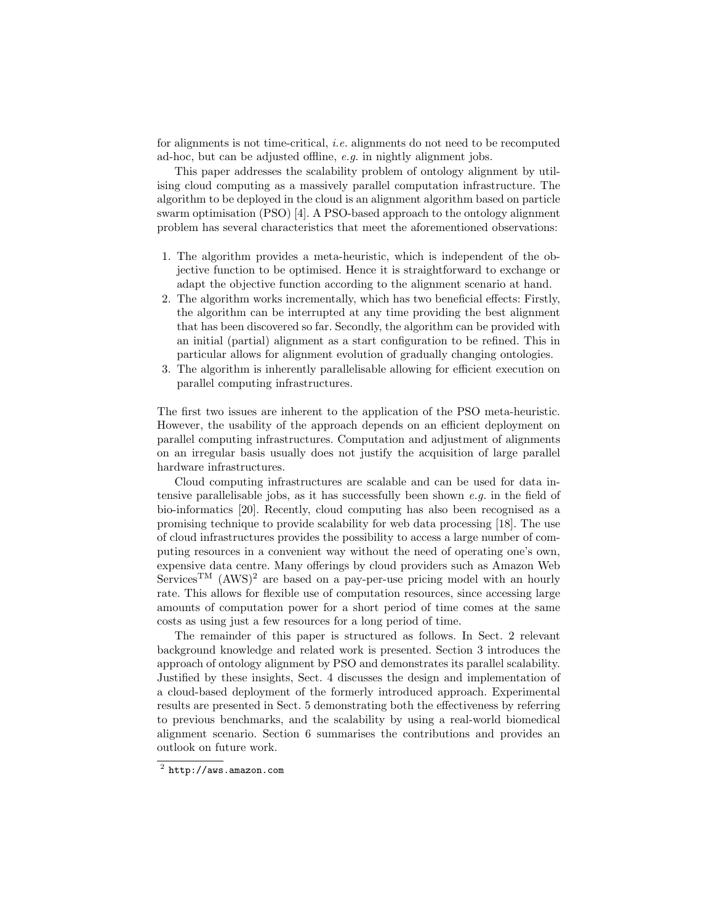for alignments is not time-critical, *i.e.* alignments do not need to be recomputed ad-hoc, but can be adjusted offline, e.g. in nightly alignment jobs.

This paper addresses the scalability problem of ontology alignment by utilising cloud computing as a massively parallel computation infrastructure. The algorithm to be deployed in the cloud is an alignment algorithm based on particle swarm optimisation (PSO) [4]. A PSO-based approach to the ontology alignment problem has several characteristics that meet the aforementioned observations:

- 1. The algorithm provides a meta-heuristic, which is independent of the objective function to be optimised. Hence it is straightforward to exchange or adapt the objective function according to the alignment scenario at hand.
- 2. The algorithm works incrementally, which has two beneficial effects: Firstly, the algorithm can be interrupted at any time providing the best alignment that has been discovered so far. Secondly, the algorithm can be provided with an initial (partial) alignment as a start configuration to be refined. This in particular allows for alignment evolution of gradually changing ontologies.
- 3. The algorithm is inherently parallelisable allowing for efficient execution on parallel computing infrastructures.

The first two issues are inherent to the application of the PSO meta-heuristic. However, the usability of the approach depends on an efficient deployment on parallel computing infrastructures. Computation and adjustment of alignments on an irregular basis usually does not justify the acquisition of large parallel hardware infrastructures.

Cloud computing infrastructures are scalable and can be used for data intensive parallelisable jobs, as it has successfully been shown e.g. in the field of bio-informatics [20]. Recently, cloud computing has also been recognised as a promising technique to provide scalability for web data processing [18]. The use of cloud infrastructures provides the possibility to access a large number of computing resources in a convenient way without the need of operating one's own, expensive data centre. Many offerings by cloud providers such as Amazon Web Services<sup>TM</sup> (AWS)<sup>2</sup> are based on a pay-per-use pricing model with an hourly rate. This allows for flexible use of computation resources, since accessing large amounts of computation power for a short period of time comes at the same costs as using just a few resources for a long period of time.

The remainder of this paper is structured as follows. In Sect. 2 relevant background knowledge and related work is presented. Section 3 introduces the approach of ontology alignment by PSO and demonstrates its parallel scalability. Justified by these insights, Sect. 4 discusses the design and implementation of a cloud-based deployment of the formerly introduced approach. Experimental results are presented in Sect. 5 demonstrating both the effectiveness by referring to previous benchmarks, and the scalability by using a real-world biomedical alignment scenario. Section 6 summarises the contributions and provides an outlook on future work.

 $^2$  http://aws.amazon.com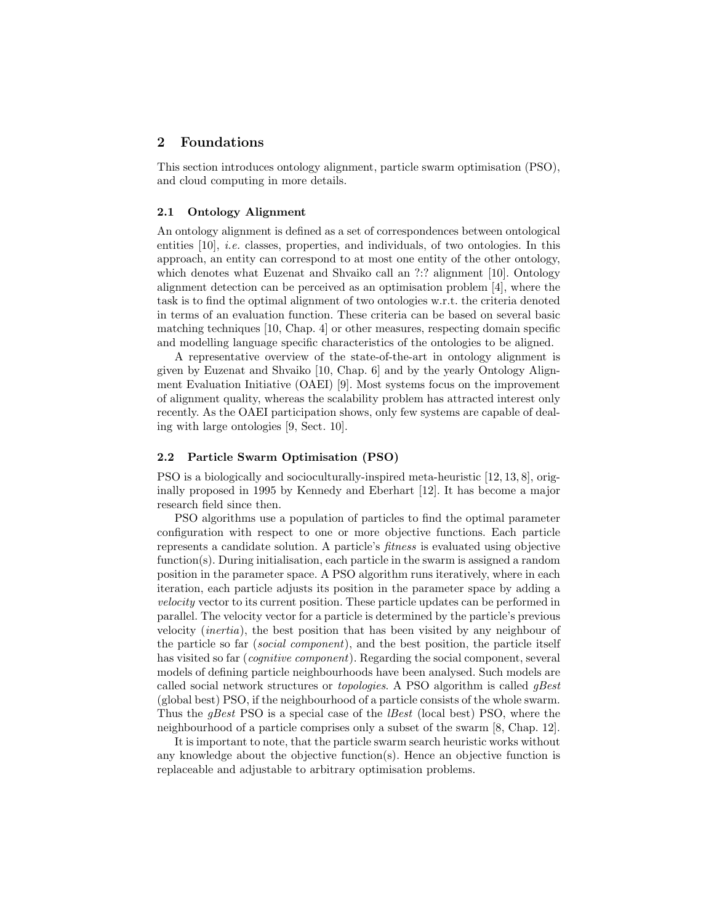# 2 Foundations

This section introduces ontology alignment, particle swarm optimisation (PSO), and cloud computing in more details.

### 2.1 Ontology Alignment

An ontology alignment is defined as a set of correspondences between ontological entities [10], i.e. classes, properties, and individuals, of two ontologies. In this approach, an entity can correspond to at most one entity of the other ontology, which denotes what Euzenat and Shvaiko call an ?:? alignment [10]. Ontology alignment detection can be perceived as an optimisation problem [4], where the task is to find the optimal alignment of two ontologies w.r.t. the criteria denoted in terms of an evaluation function. These criteria can be based on several basic matching techniques [10, Chap. 4] or other measures, respecting domain specific and modelling language specific characteristics of the ontologies to be aligned.

A representative overview of the state-of-the-art in ontology alignment is given by Euzenat and Shvaiko [10, Chap. 6] and by the yearly Ontology Alignment Evaluation Initiative (OAEI) [9]. Most systems focus on the improvement of alignment quality, whereas the scalability problem has attracted interest only recently. As the OAEI participation shows, only few systems are capable of dealing with large ontologies [9, Sect. 10].

### 2.2 Particle Swarm Optimisation (PSO)

PSO is a biologically and socioculturally-inspired meta-heuristic [12, 13, 8], originally proposed in 1995 by Kennedy and Eberhart [12]. It has become a major research field since then.

PSO algorithms use a population of particles to find the optimal parameter configuration with respect to one or more objective functions. Each particle represents a candidate solution. A particle's fitness is evaluated using objective  $function(s)$ . During initialisation, each particle in the swarm is assigned a random position in the parameter space. A PSO algorithm runs iteratively, where in each iteration, each particle adjusts its position in the parameter space by adding a velocity vector to its current position. These particle updates can be performed in parallel. The velocity vector for a particle is determined by the particle's previous velocity (inertia), the best position that has been visited by any neighbour of the particle so far (social component), and the best position, the particle itself has visited so far (*cognitive component*). Regarding the social component, several models of defining particle neighbourhoods have been analysed. Such models are called social network structures or topologies. A PSO algorithm is called gBest (global best) PSO, if the neighbourhood of a particle consists of the whole swarm. Thus the *qBest* PSO is a special case of the *lBest* (local best) PSO, where the neighbourhood of a particle comprises only a subset of the swarm [8, Chap. 12].

It is important to note, that the particle swarm search heuristic works without any knowledge about the objective function(s). Hence an objective function is replaceable and adjustable to arbitrary optimisation problems.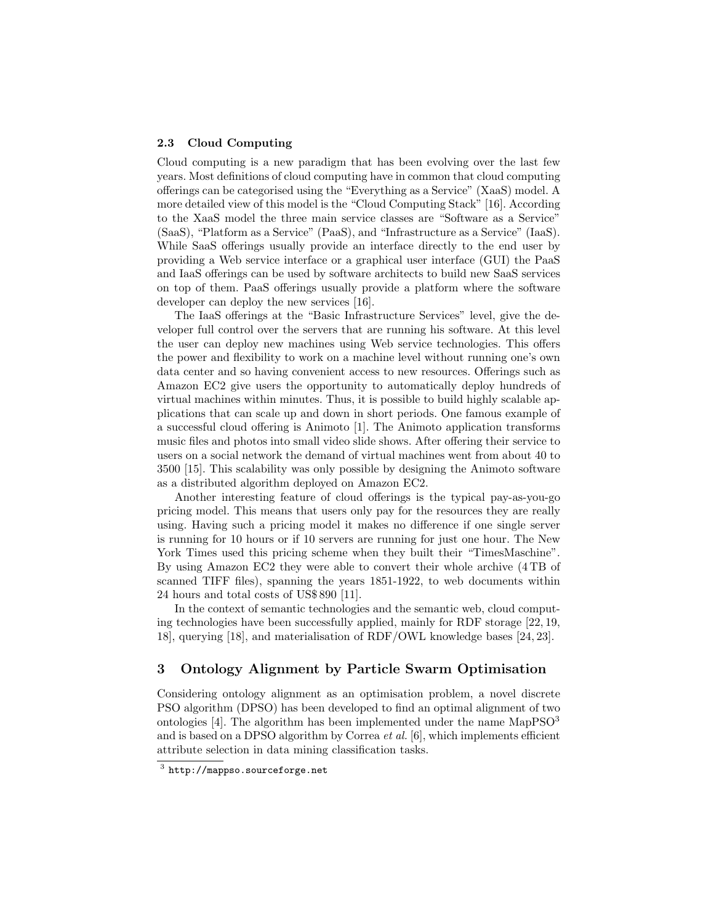### 2.3 Cloud Computing

Cloud computing is a new paradigm that has been evolving over the last few years. Most definitions of cloud computing have in common that cloud computing offerings can be categorised using the "Everything as a Service" (XaaS) model. A more detailed view of this model is the "Cloud Computing Stack" [16]. According to the XaaS model the three main service classes are "Software as a Service" (SaaS), "Platform as a Service" (PaaS), and "Infrastructure as a Service" (IaaS). While SaaS offerings usually provide an interface directly to the end user by providing a Web service interface or a graphical user interface (GUI) the PaaS and IaaS offerings can be used by software architects to build new SaaS services on top of them. PaaS offerings usually provide a platform where the software developer can deploy the new services [16].

The IaaS offerings at the "Basic Infrastructure Services" level, give the developer full control over the servers that are running his software. At this level the user can deploy new machines using Web service technologies. This offers the power and flexibility to work on a machine level without running one's own data center and so having convenient access to new resources. Offerings such as Amazon EC2 give users the opportunity to automatically deploy hundreds of virtual machines within minutes. Thus, it is possible to build highly scalable applications that can scale up and down in short periods. One famous example of a successful cloud offering is Animoto [1]. The Animoto application transforms music files and photos into small video slide shows. After offering their service to users on a social network the demand of virtual machines went from about 40 to 3500 [15]. This scalability was only possible by designing the Animoto software as a distributed algorithm deployed on Amazon EC2.

Another interesting feature of cloud offerings is the typical pay-as-you-go pricing model. This means that users only pay for the resources they are really using. Having such a pricing model it makes no difference if one single server is running for 10 hours or if 10 servers are running for just one hour. The New York Times used this pricing scheme when they built their "TimesMaschine". By using Amazon EC2 they were able to convert their whole archive (4 TB of scanned TIFF files), spanning the years 1851-1922, to web documents within 24 hours and total costs of US\$ 890 [11].

In the context of semantic technologies and the semantic web, cloud computing technologies have been successfully applied, mainly for RDF storage [22, 19, 18], querying [18], and materialisation of RDF/OWL knowledge bases [24, 23].

# 3 Ontology Alignment by Particle Swarm Optimisation

Considering ontology alignment as an optimisation problem, a novel discrete PSO algorithm (DPSO) has been developed to find an optimal alignment of two ontologies [4]. The algorithm has been implemented under the name  $\text{MapPSO}^3$ and is based on a DPSO algorithm by Correa *et al.* [6], which implements efficient attribute selection in data mining classification tasks.

 $^3$  http://mappso.sourceforge.net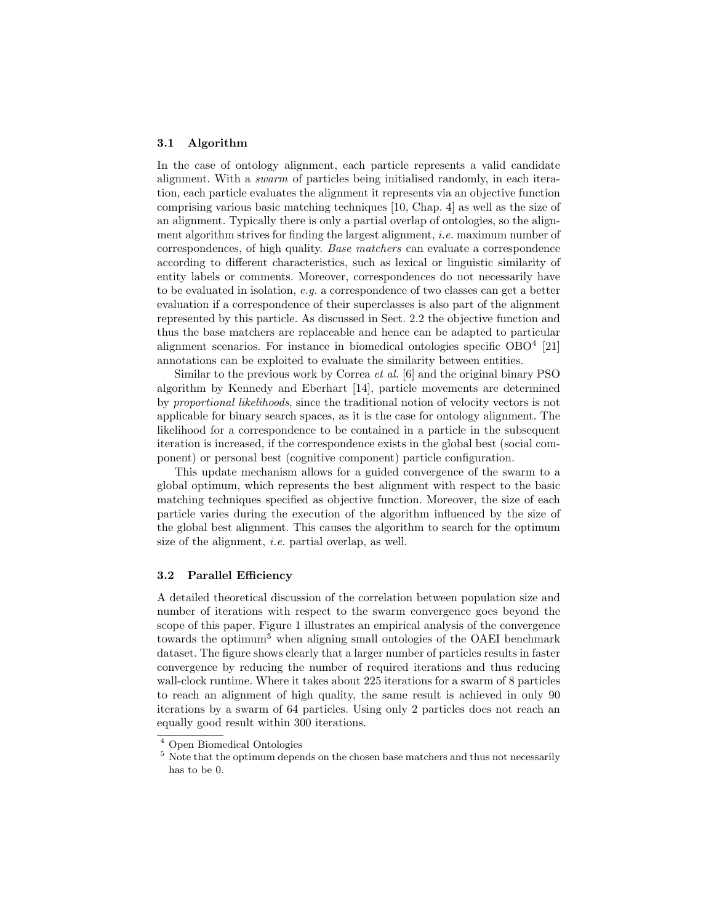#### 3.1 Algorithm

In the case of ontology alignment, each particle represents a valid candidate alignment. With a swarm of particles being initialised randomly, in each iteration, each particle evaluates the alignment it represents via an objective function comprising various basic matching techniques [10, Chap. 4] as well as the size of an alignment. Typically there is only a partial overlap of ontologies, so the alignment algorithm strives for finding the largest alignment, i.e. maximum number of correspondences, of high quality. Base matchers can evaluate a correspondence according to different characteristics, such as lexical or linguistic similarity of entity labels or comments. Moreover, correspondences do not necessarily have to be evaluated in isolation, e.g. a correspondence of two classes can get a better evaluation if a correspondence of their superclasses is also part of the alignment represented by this particle. As discussed in Sect. 2.2 the objective function and thus the base matchers are replaceable and hence can be adapted to particular alignment scenarios. For instance in biomedical ontologies specific OBO<sup>4</sup> [21] annotations can be exploited to evaluate the similarity between entities.

Similar to the previous work by Correa et al. [6] and the original binary PSO algorithm by Kennedy and Eberhart [14], particle movements are determined by proportional likelihoods, since the traditional notion of velocity vectors is not applicable for binary search spaces, as it is the case for ontology alignment. The likelihood for a correspondence to be contained in a particle in the subsequent iteration is increased, if the correspondence exists in the global best (social component) or personal best (cognitive component) particle configuration.

This update mechanism allows for a guided convergence of the swarm to a global optimum, which represents the best alignment with respect to the basic matching techniques specified as objective function. Moreover, the size of each particle varies during the execution of the algorithm influenced by the size of the global best alignment. This causes the algorithm to search for the optimum size of the alignment, i.e. partial overlap, as well.

### 3.2 Parallel Efficiency

A detailed theoretical discussion of the correlation between population size and number of iterations with respect to the swarm convergence goes beyond the scope of this paper. Figure 1 illustrates an empirical analysis of the convergence towards the optimum<sup>5</sup> when aligning small ontologies of the OAEI benchmark dataset. The figure shows clearly that a larger number of particles results in faster convergence by reducing the number of required iterations and thus reducing wall-clock runtime. Where it takes about 225 iterations for a swarm of 8 particles to reach an alignment of high quality, the same result is achieved in only 90 iterations by a swarm of 64 particles. Using only 2 particles does not reach an equally good result within 300 iterations.

<sup>4</sup> Open Biomedical Ontologies

<sup>&</sup>lt;sup>5</sup> Note that the optimum depends on the chosen base matchers and thus not necessarily has to be 0.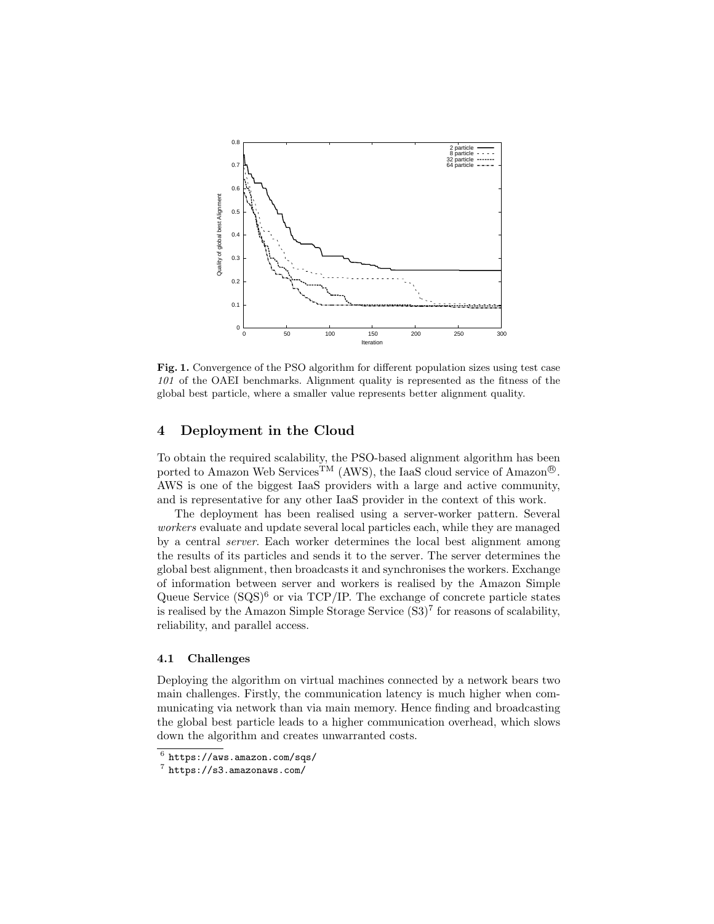

Fig. 1. Convergence of the PSO algorithm for different population sizes using test case 101 of the OAEI benchmarks. Alignment quality is represented as the fitness of the global best particle, where a smaller value represents better alignment quality.

### 4 Deployment in the Cloud

To obtain the required scalability, the PSO-based alignment algorithm has been ported to Amazon Web Services<sup>TM</sup> (AWS), the IaaS cloud service of Amazon<sup>®</sup>. AWS is one of the biggest IaaS providers with a large and active community, and is representative for any other IaaS provider in the context of this work.

The deployment has been realised using a server-worker pattern. Several workers evaluate and update several local particles each, while they are managed by a central server. Each worker determines the local best alignment among the results of its particles and sends it to the server. The server determines the global best alignment, then broadcasts it and synchronises the workers. Exchange of information between server and workers is realised by the Amazon Simple Queue Service  $(SQS)^6$  or via TCP/IP. The exchange of concrete particle states is realised by the Amazon Simple Storage Service  $(S3)^7$  for reasons of scalability, reliability, and parallel access.

### 4.1 Challenges

Deploying the algorithm on virtual machines connected by a network bears two main challenges. Firstly, the communication latency is much higher when communicating via network than via main memory. Hence finding and broadcasting the global best particle leads to a higher communication overhead, which slows down the algorithm and creates unwarranted costs.

 $^6$  https://aws.amazon.com/sqs/

<sup>7</sup> https://s3.amazonaws.com/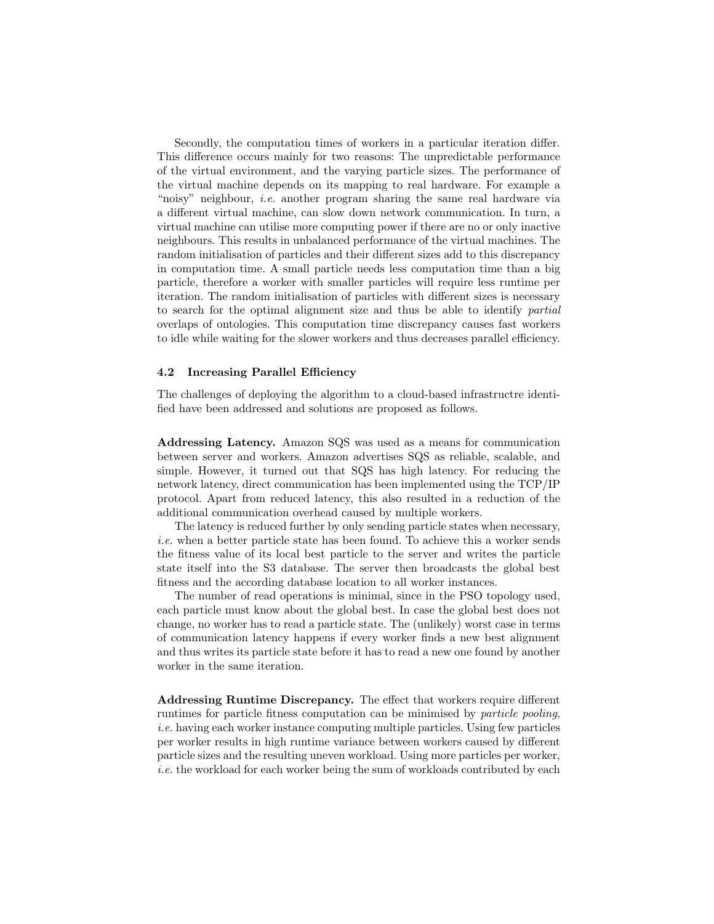Secondly, the computation times of workers in a particular iteration differ. This difference occurs mainly for two reasons: The unpredictable performance of the virtual environment, and the varying particle sizes. The performance of the virtual machine depends on its mapping to real hardware. For example a "noisy" neighbour, *i.e.* another program sharing the same real hardware via a different virtual machine, can slow down network communication. In turn, a virtual machine can utilise more computing power if there are no or only inactive neighbours. This results in unbalanced performance of the virtual machines. The random initialisation of particles and their different sizes add to this discrepancy in computation time. A small particle needs less computation time than a big particle, therefore a worker with smaller particles will require less runtime per iteration. The random initialisation of particles with different sizes is necessary to search for the optimal alignment size and thus be able to identify partial overlaps of ontologies. This computation time discrepancy causes fast workers to idle while waiting for the slower workers and thus decreases parallel efficiency.

### 4.2 Increasing Parallel Efficiency

The challenges of deploying the algorithm to a cloud-based infrastructre identified have been addressed and solutions are proposed as follows.

Addressing Latency. Amazon SQS was used as a means for communication between server and workers. Amazon advertises SQS as reliable, scalable, and simple. However, it turned out that SQS has high latency. For reducing the network latency, direct communication has been implemented using the TCP/IP protocol. Apart from reduced latency, this also resulted in a reduction of the additional communication overhead caused by multiple workers.

The latency is reduced further by only sending particle states when necessary, i.e. when a better particle state has been found. To achieve this a worker sends the fitness value of its local best particle to the server and writes the particle state itself into the S3 database. The server then broadcasts the global best fitness and the according database location to all worker instances.

The number of read operations is minimal, since in the PSO topology used, each particle must know about the global best. In case the global best does not change, no worker has to read a particle state. The (unlikely) worst case in terms of communication latency happens if every worker finds a new best alignment and thus writes its particle state before it has to read a new one found by another worker in the same iteration.

Addressing Runtime Discrepancy. The effect that workers require different runtimes for particle fitness computation can be minimised by particle pooling, i.e. having each worker instance computing multiple particles. Using few particles per worker results in high runtime variance between workers caused by different particle sizes and the resulting uneven workload. Using more particles per worker, i.e. the workload for each worker being the sum of workloads contributed by each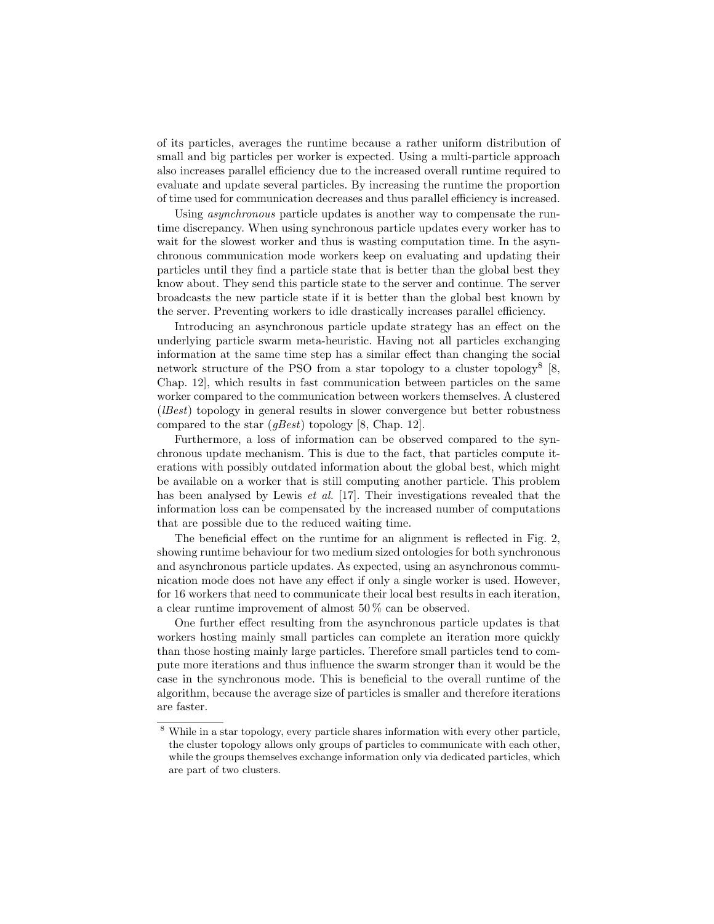of its particles, averages the runtime because a rather uniform distribution of small and big particles per worker is expected. Using a multi-particle approach also increases parallel efficiency due to the increased overall runtime required to evaluate and update several particles. By increasing the runtime the proportion of time used for communication decreases and thus parallel efficiency is increased.

Using *asynchronous* particle updates is another way to compensate the runtime discrepancy. When using synchronous particle updates every worker has to wait for the slowest worker and thus is wasting computation time. In the asynchronous communication mode workers keep on evaluating and updating their particles until they find a particle state that is better than the global best they know about. They send this particle state to the server and continue. The server broadcasts the new particle state if it is better than the global best known by the server. Preventing workers to idle drastically increases parallel efficiency.

Introducing an asynchronous particle update strategy has an effect on the underlying particle swarm meta-heuristic. Having not all particles exchanging information at the same time step has a similar effect than changing the social network structure of the PSO from a star topology to a cluster topology<sup>8</sup>  $[8,$ Chap. 12], which results in fast communication between particles on the same worker compared to the communication between workers themselves. A clustered (lBest) topology in general results in slower convergence but better robustness compared to the star  $(gBest)$  topology [8, Chap. 12].

Furthermore, a loss of information can be observed compared to the synchronous update mechanism. This is due to the fact, that particles compute iterations with possibly outdated information about the global best, which might be available on a worker that is still computing another particle. This problem has been analysed by Lewis *et al.* [17]. Their investigations revealed that the information loss can be compensated by the increased number of computations that are possible due to the reduced waiting time.

The beneficial effect on the runtime for an alignment is reflected in Fig. 2, showing runtime behaviour for two medium sized ontologies for both synchronous and asynchronous particle updates. As expected, using an asynchronous communication mode does not have any effect if only a single worker is used. However, for 16 workers that need to communicate their local best results in each iteration, a clear runtime improvement of almost 50 % can be observed.

One further effect resulting from the asynchronous particle updates is that workers hosting mainly small particles can complete an iteration more quickly than those hosting mainly large particles. Therefore small particles tend to compute more iterations and thus influence the swarm stronger than it would be the case in the synchronous mode. This is beneficial to the overall runtime of the algorithm, because the average size of particles is smaller and therefore iterations are faster.

 $8\,$  While in a star topology, every particle shares information with every other particle, the cluster topology allows only groups of particles to communicate with each other, while the groups themselves exchange information only via dedicated particles, which are part of two clusters.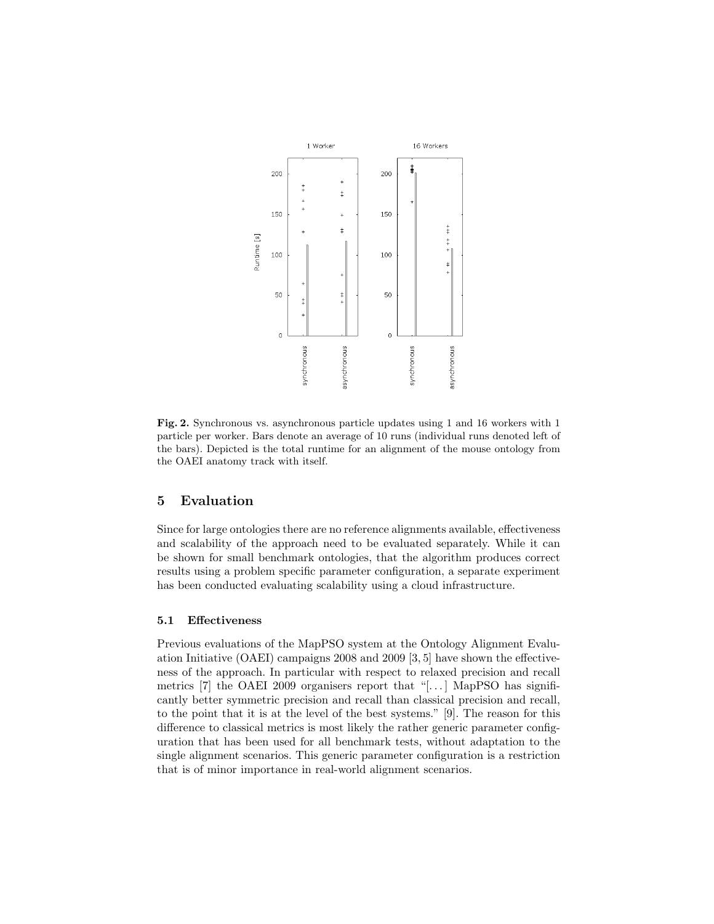

Fig. 2. Synchronous vs. asynchronous particle updates using 1 and 16 workers with 1 particle per worker. Bars denote an average of 10 runs (individual runs denoted left of the bars). Depicted is the total runtime for an alignment of the mouse ontology from the OAEI anatomy track with itself.

### 5 Evaluation

Since for large ontologies there are no reference alignments available, effectiveness and scalability of the approach need to be evaluated separately. While it can be shown for small benchmark ontologies, that the algorithm produces correct results using a problem specific parameter configuration, a separate experiment has been conducted evaluating scalability using a cloud infrastructure.

### 5.1 Effectiveness

Previous evaluations of the MapPSO system at the Ontology Alignment Evaluation Initiative (OAEI) campaigns 2008 and 2009 [3, 5] have shown the effectiveness of the approach. In particular with respect to relaxed precision and recall metrics  $[7]$  the OAEI 2009 organisers report that "[...] MapPSO has significantly better symmetric precision and recall than classical precision and recall, to the point that it is at the level of the best systems." [9]. The reason for this difference to classical metrics is most likely the rather generic parameter configuration that has been used for all benchmark tests, without adaptation to the single alignment scenarios. This generic parameter configuration is a restriction that is of minor importance in real-world alignment scenarios.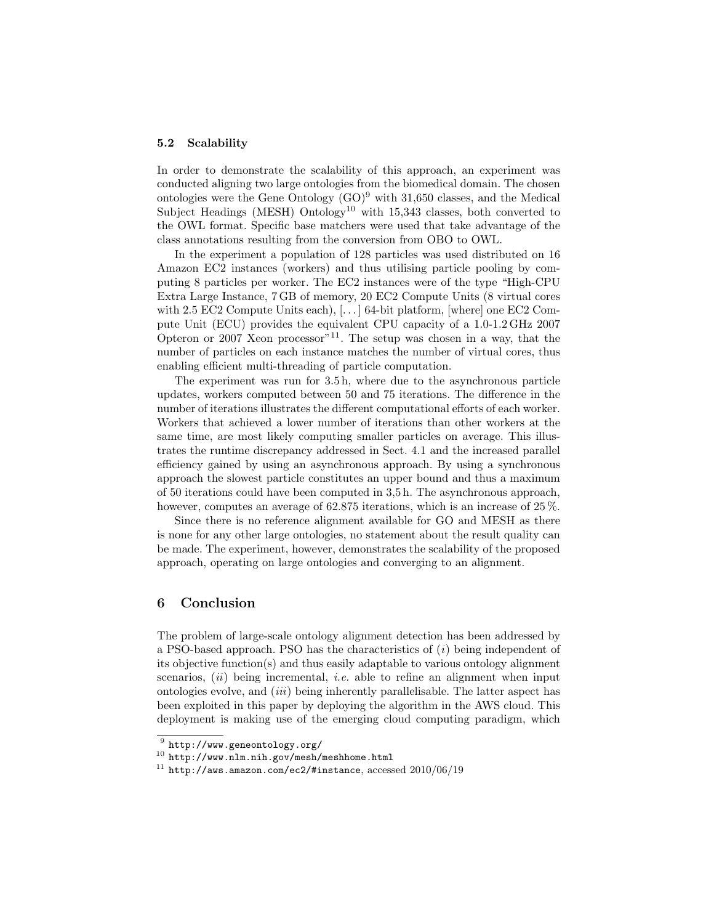#### 5.2 Scalability

In order to demonstrate the scalability of this approach, an experiment was conducted aligning two large ontologies from the biomedical domain. The chosen ontologies were the Gene Ontology  $(GO)^9$  with 31,650 classes, and the Medical Subject Headings (MESH) Ontology<sup>10</sup> with 15,343 classes, both converted to the OWL format. Specific base matchers were used that take advantage of the class annotations resulting from the conversion from OBO to OWL.

In the experiment a population of 128 particles was used distributed on 16 Amazon EC2 instances (workers) and thus utilising particle pooling by computing 8 particles per worker. The EC2 instances were of the type "High-CPU Extra Large Instance, 7 GB of memory, 20 EC2 Compute Units (8 virtual cores with 2.5 EC2 Compute Units each), [...] 64-bit platform, [where] one EC2 Compute Unit (ECU) provides the equivalent CPU capacity of a 1.0-1.2 GHz 2007 Opteron or 2007 Xeon processor<sup>"11</sup>. The setup was chosen in a way, that the number of particles on each instance matches the number of virtual cores, thus enabling efficient multi-threading of particle computation.

The experiment was run for 3.5 h, where due to the asynchronous particle updates, workers computed between 50 and 75 iterations. The difference in the number of iterations illustrates the different computational efforts of each worker. Workers that achieved a lower number of iterations than other workers at the same time, are most likely computing smaller particles on average. This illustrates the runtime discrepancy addressed in Sect. 4.1 and the increased parallel efficiency gained by using an asynchronous approach. By using a synchronous approach the slowest particle constitutes an upper bound and thus a maximum of 50 iterations could have been computed in 3,5 h. The asynchronous approach, however, computes an average of 62.875 iterations, which is an increase of 25 %.

Since there is no reference alignment available for GO and MESH as there is none for any other large ontologies, no statement about the result quality can be made. The experiment, however, demonstrates the scalability of the proposed approach, operating on large ontologies and converging to an alignment.

### 6 Conclusion

The problem of large-scale ontology alignment detection has been addressed by a PSO-based approach. PSO has the characteristics of  $(i)$  being independent of its objective function(s) and thus easily adaptable to various ontology alignment scenarios,  $(ii)$  being incremental, *i.e.* able to refine an alignment when input ontologies evolve, and (iii) being inherently parallelisable. The latter aspect has been exploited in this paper by deploying the algorithm in the AWS cloud. This deployment is making use of the emerging cloud computing paradigm, which

 $^9$  http://www.geneontology.org/

<sup>10</sup> http://www.nlm.nih.gov/mesh/meshhome.html

 $11$  http://aws.amazon.com/ec2/#instance, accessed 2010/06/19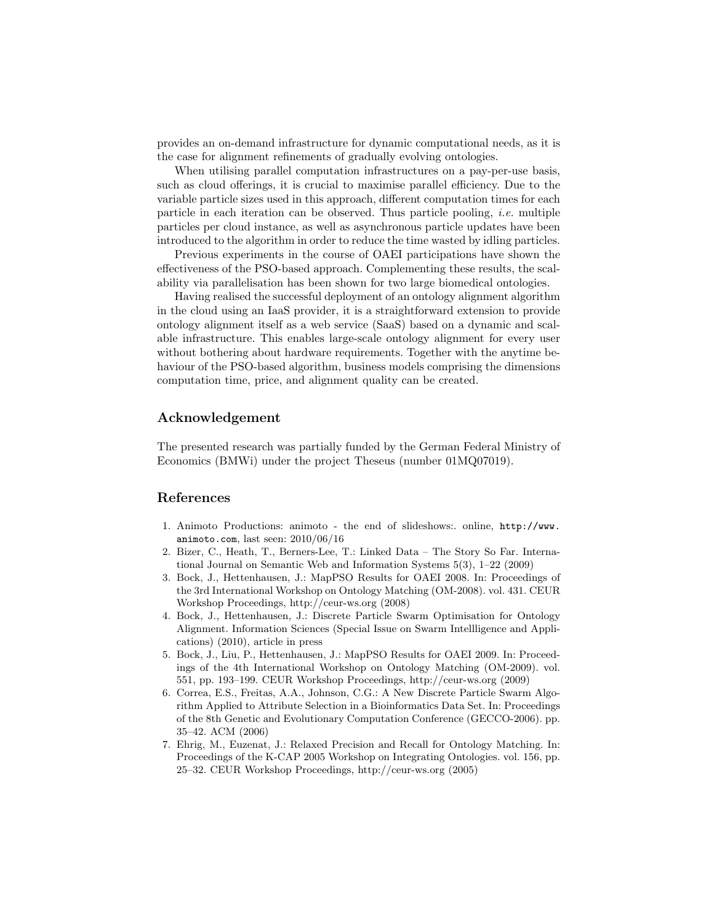provides an on-demand infrastructure for dynamic computational needs, as it is the case for alignment refinements of gradually evolving ontologies.

When utilising parallel computation infrastructures on a pay-per-use basis, such as cloud offerings, it is crucial to maximise parallel efficiency. Due to the variable particle sizes used in this approach, different computation times for each particle in each iteration can be observed. Thus particle pooling, *i.e.* multiple particles per cloud instance, as well as asynchronous particle updates have been introduced to the algorithm in order to reduce the time wasted by idling particles.

Previous experiments in the course of OAEI participations have shown the effectiveness of the PSO-based approach. Complementing these results, the scalability via parallelisation has been shown for two large biomedical ontologies.

Having realised the successful deployment of an ontology alignment algorithm in the cloud using an IaaS provider, it is a straightforward extension to provide ontology alignment itself as a web service (SaaS) based on a dynamic and scalable infrastructure. This enables large-scale ontology alignment for every user without bothering about hardware requirements. Together with the anytime behaviour of the PSO-based algorithm, business models comprising the dimensions computation time, price, and alignment quality can be created.

# Acknowledgement

The presented research was partially funded by the German Federal Ministry of Economics (BMWi) under the project Theseus (number 01MQ07019).

# References

- 1. Animoto Productions: animoto the end of slideshows:. online, http://www. animoto.com, last seen: 2010/06/16
- 2. Bizer, C., Heath, T., Berners-Lee, T.: Linked Data The Story So Far. International Journal on Semantic Web and Information Systems 5(3), 1–22 (2009)
- 3. Bock, J., Hettenhausen, J.: MapPSO Results for OAEI 2008. In: Proceedings of the 3rd International Workshop on Ontology Matching (OM-2008). vol. 431. CEUR Workshop Proceedings, http://ceur-ws.org (2008)
- 4. Bock, J., Hettenhausen, J.: Discrete Particle Swarm Optimisation for Ontology Alignment. Information Sciences (Special Issue on Swarm Intellligence and Applications) (2010), article in press
- 5. Bock, J., Liu, P., Hettenhausen, J.: MapPSO Results for OAEI 2009. In: Proceedings of the 4th International Workshop on Ontology Matching (OM-2009). vol. 551, pp. 193–199. CEUR Workshop Proceedings, http://ceur-ws.org (2009)
- 6. Correa, E.S., Freitas, A.A., Johnson, C.G.: A New Discrete Particle Swarm Algorithm Applied to Attribute Selection in a Bioinformatics Data Set. In: Proceedings of the 8th Genetic and Evolutionary Computation Conference (GECCO-2006). pp. 35–42. ACM (2006)
- 7. Ehrig, M., Euzenat, J.: Relaxed Precision and Recall for Ontology Matching. In: Proceedings of the K-CAP 2005 Workshop on Integrating Ontologies. vol. 156, pp. 25–32. CEUR Workshop Proceedings, http://ceur-ws.org (2005)